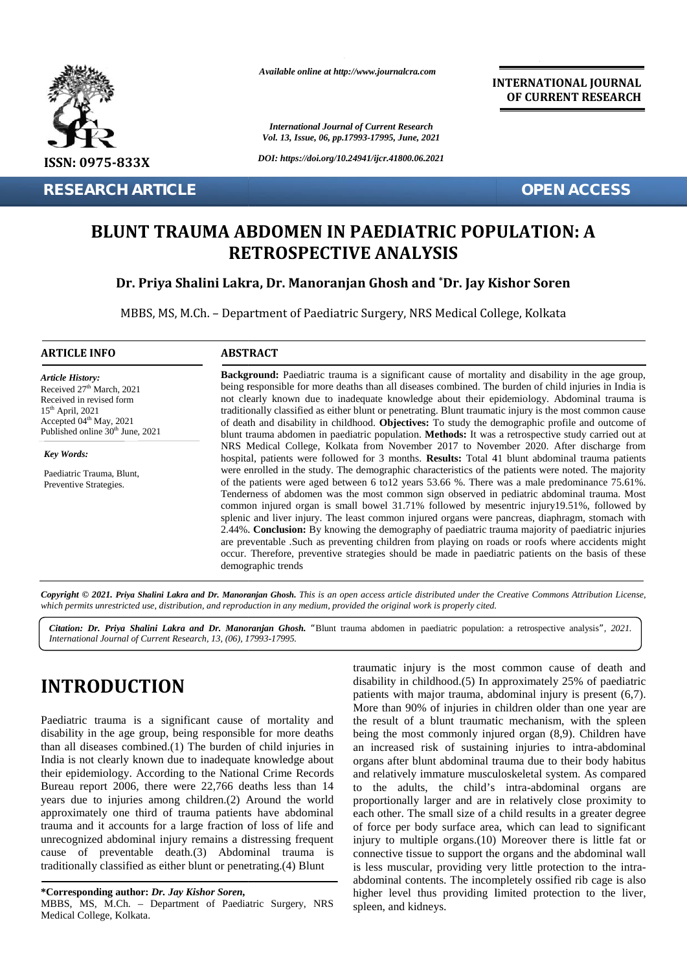

**RESEARCH ARTICLE OPEN ACCESS**

*Available online at http://www.journalcra.com*

*International Journal of Current Research Vol. 13, Issue, 06, pp.17993-17995, June, 2021*

*DOI: https://doi.org/10.24941/ijcr.41800.06.2021*

**INTERNATIONAL JOURNAL OF CURRENT RESEARCH**

# **BLUNT TRAUMA ABDOMEN IN PAEDIATRIC POPULATION: A RETROSPECTIVE ANALYSIS Dr. Priya Shalini Lakra, Dr. Manoranjan Ghosh and \*Dr. Jay Kishor Soren**

MBBS, MS, M.Ch. – Department of Paediatric Surgery, NRS Medical College, Kolkata of

#### **ARTICLE INFO ABSTRACT ARTICLE ABSTRACT**

*Article History:* Received 27<sup>th</sup> March, 2021 Received in revised form 15 th April, 2021 Received 27<sup>-</sup> March, 2021<br>Received in revised form<br>15<sup>th</sup> April, 2021<br>Accepted 04<sup>th</sup> May, 2021 Published online 30<sup>th</sup> June, 2021 **RESEARCH ART<br>
BLUNT 1<br>
Dr. Priy<br>
MBBS, I<br>
MBBS, I<br>
ARTICLE INFO<br>
Article History:<br>
Received 27<sup>th</sup> March, 2021<br>
Received in revised form<br>
J<sub>5th</sub> April, 2021<br>
Accepted 04<sup>th</sup> May, 2021<br>
Accepted 04<sup>th</sup> May, 2021<br>
Published** 

*Key Words:*

Paediatric Trauma, Blunt, Preventive Strategies.

**Background:** Paediatric trauma is a significant cause of mortality and disability in the age group, being responsible for more deaths than all diseases combined. The burden of child injuries in India is not clearly known due to inadequate knowledge about their epidemiology. Abdominal trauma is traditionally classified as either blunt or penetrating. Blunt traumatic injury is the most common cause of death and disability in childhood. **Objectives:** To study the demographic profile and outcome of blunt trauma abdomen in paediatric population. **Methods:** It was a retrospective study carried out at NRS Medical College, Kolkata from November 2017 to November 2020. After discharge from hospital, patients were followed for 3 months. **Results:** Total 41 blunt abdominal trauma patients were enrolled in the study. The demographic characteristics of the patients were noted. The majority of the patients were aged between 6 to12 years 53.66 %. There was a male predominance 75.61%. Tenderness of abdomen was the most common sign observed in pediatric abdominal trauma. Most common injured organ is small bowel 31.71% followed by mesentric injury19.51%, followed by splenic and liver injury. The least common injured organs were pancreas, diaphragm, stomach with 2.44%. **Conclusion:** By knowing the demography of paediatric trauma majority of paediatric injuries are preventable .Such as preventing children from playing on roads or roofs where accidents might occur. Therefore, preventive strategies should be made in paediatric patients on the basis of these demographic trends **Background:** Paediatric trauma is a significant cause of mortality and disability in the age group, being responsible for more deaths than all diseases combined. The burden of child injuries in India is not clearly known were enrolled in the study. The demographic characteristics of the patients were noted. The maj<br>of the patients were aged between 6 to 12 years 53.66 %. There was a male predominance 75.<br>Tenderness of abdomen was the most **EXERCISE CONFIRM ASSESSMENT CONFIRM AND CONFIRM AND ARTICLE CONFIRM AND SINCE THE SECTION AND ARTICLE OF PERIOD AT A CONFIRM AND CONFIRM AND CONFIRM AND CONFIRM AND CONFIRM AND CONFIRM AND A RETROSPECTIVE ANALYSIS OF PER Example:** Packing the Packing is a significant cause of mortality and disability on the example of charge responsible for more deaths than all diseases combined. The burden of chiral packing as eiter burden of the packing

Copyright © 2021. Priya Shalini Lakra and Dr. Manoranjan Ghosh. This is an open access article distributed under the Creative Commons Attribution License, which permits unrestricted use, distribution, and reproduction in any medium, provided the original work is properly cited.

Citation: Dr. Priya Shalini Lakra and Dr. Manoranjan Ghosh. "Blunt trauma abdomen in paediatric population: a retrospective analysis", 2021. *International Journal of Current Research, 13, (06), 17993-17995.*

# **INTRODUCTION INTRODUCTION**

Paediatric trauma is a significant cause of mortality and disability in the age group, being responsible for more deaths than all diseases combined.(1) The burden of child injuries in India is not clearly known due to inadequate knowledge about their epidemiology. According to the National Crime Records Bureau report 2006, there were 22,766 deaths less than 14 years due to injuries among children.(2) Around the world approximately one third of trauma patients have abdominal trauma and it accounts for a large fraction of loss of life and unrecognized abdominal injury remains a distressing frequent cause of preventable death.(3) Abdominal trauma is traditionally classified as either blunt or penetrating.(4) Blunt traditionally Paediatric trauma is a significant cause of mortality and<br>disability in the age group, being responsible for more deaths<br>than all diseases combined.(1) The burden of child injuries in<br>India is not clearly known due to inad trauma and it accounts for a large fraction<br>unrecognized abdominal injury remains a<br>cause of preventable death.(3) Abo

**\*Corresponding author:** *Dr. Jay Kishor Soren,* **\*Corresponding** *Kishor Soren,*

MBBS, MS, M.Ch. – Department of Paediatric Surgery, NRS Medical College, Kolkata.

traumatic injury is the most common cause of death and disability in childhood.(5) In approximately 25% of paediatric patients with major trauma, abdominal injury is present (6,7). More than 90% of injuries in children older than one year are the result of a blunt traumatic mechanism, with the spleen being the most commonly injured organ (8,9). Children have an increased risk of sustaining injuries to intra-abdominal organs after blunt abdominal trauma due to their body habitus an increased risk of sustaining injuries to intra-abdominal<br>organs after blunt abdominal trauma due to their body habitus<br>and relatively immature musculoskeletal system. As compared to the adults, the child's intra-abdominal organs are proportionally larger and are in relatively close proximity to each other. The small size of a child results in a greater degree of force per body surface area, which can lead to significant injury to multiple organs.(10) Moreover there is little fat or connective tissue to support the organs and the abdominal wall is less muscular, providing very little protection to the intra abdominal contents. The incompletely ossified rib cage is also higher level thus providing limited protection to the liver, spleen, and kidneys.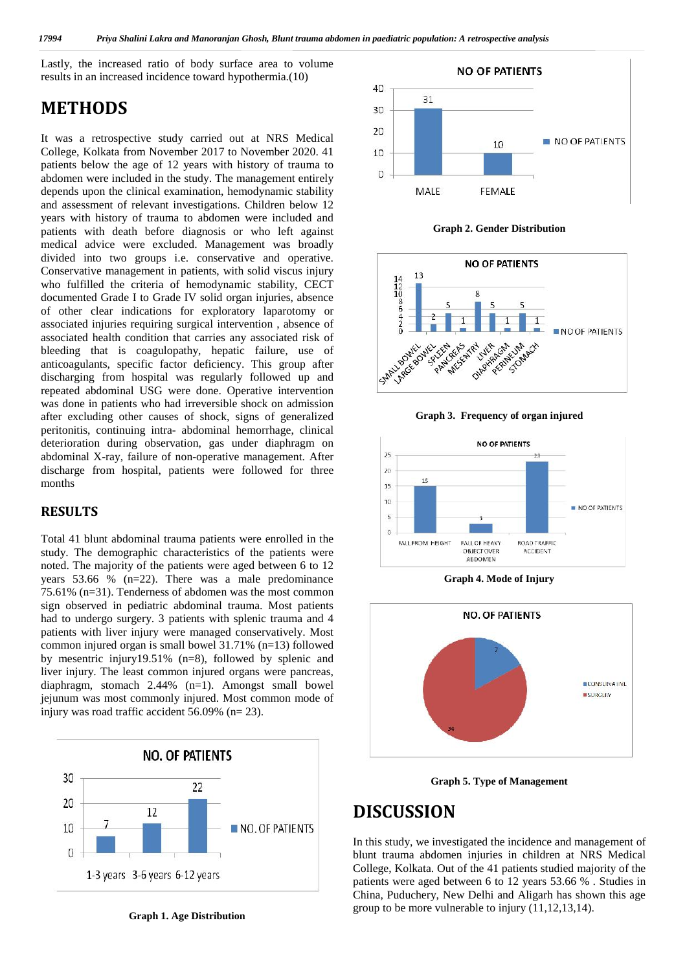Lastly, the increased ratio of body surface area to volume results in an increased incidence toward hypothermia.(10)

## **METHODS**

It was a retrospective study carried out at NRS Medical College, Kolkata from November 2017 to November 2020. 41 patients below the age of 12 years with history of trauma to abdomen were included in the study. The management entirely depends upon the clinical examination, hemodynamic stability and assessment of relevant investigations. Children below 12 years with history of trauma to abdomen were included and patients with death before diagnosis or who left against medical advice were excluded. Management was broadly divided into two groups i.e. conservative and operative. Conservative management in patients, with solid viscus injury who fulfilled the criteria of hemodynamic stability, CECT documented Grade I to Grade IV solid organ injuries, absence of other clear indications for exploratory laparotomy or associated injuries requiring surgical intervention , absence of associated health condition that carries any associated risk of bleeding that is coagulopathy, hepatic failure, use of anticoagulants, specific factor deficiency. This group after discharging from hospital was regularly followed up and repeated abdominal USG were done. Operative intervention was done in patients who had irreversible shock on admission after excluding other causes of shock, signs of generalized peritonitis, continuing intra- abdominal hemorrhage, clinical deterioration during observation, gas under diaphragm on abdominal X-ray, failure of non-operative management. After discharge from hospital, patients were followed for three months

#### **RESULTS**

Total 41 blunt abdominal trauma patients were enrolled in the study. The demographic characteristics of the patients were noted. The majority of the patients were aged between 6 to 12 years 53.66 % (n=22). There was a male predominance 75.61% (n=31). Tenderness of abdomen was the most common sign observed in pediatric abdominal trauma. Most patients had to undergo surgery. 3 patients with splenic trauma and 4 patients with liver injury were managed conservatively. Most common injured organ is small bowel 31.71% (n=13) followed by mesentric injury19.51% (n=8), followed by splenic and liver injury. The least common injured organs were pancreas, diaphragm, stomach 2.44% (n=1). Amongst small bowel jejunum was most commonly injured. Most common mode of injury was road traffic accident 56.09% (n= 23).



**Graph 1. Age Distribution**







**Graph 3. Frequency of organ injured**



**Graph 4. Mode of Injury**



**Graph 5. Type of Management**

## **DISCUSSION**

In this study, we investigated the incidence and management of blunt trauma abdomen injuries in children at NRS Medical College, Kolkata. Out of the 41 patients studied majority of the patients were aged between 6 to 12 years 53.66 % . Studies in China, Puduchery, New Delhi and Aligarh has shown this age group to be more vulnerable to injury (11,12,13,14).